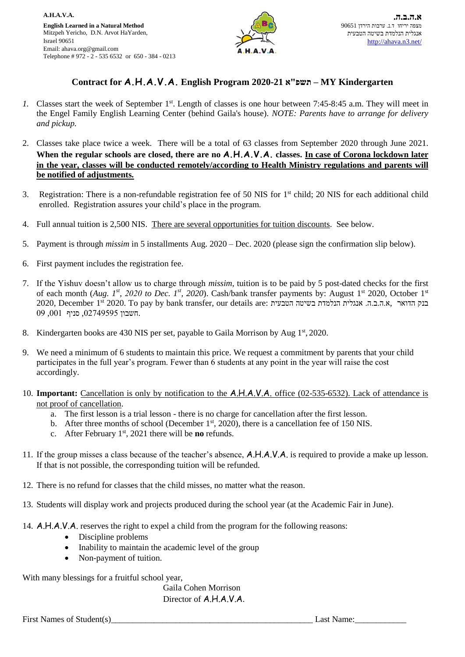

## **Contract for A.H.A.V.A. English Program 2020-21 א"תשפ – MY Kindergarten**

- 1. Classes start the week of September 1<sup>st</sup>. Length of classes is one hour between 7:45-8:45 a.m. They will meet in the Engel Family English Learning Center (behind Gaila's house). *NOTE: Parents have to arrange for delivery and pickup.*
- 2. Classes take place twice a week. There will be a total of 63 classes from September 2020 through June 2021. **When the regular schools are closed, there are no A.H.A.V.A. classes. In case of Corona lockdown later in the year, classes will be conducted remotely/according to Health Ministry regulations and parents will be notified of adjustments.**
- 3. Registration: There is a non-refundable registration fee of 50 NIS for  $1<sup>st</sup>$  child; 20 NIS for each additional child enrolled. Registration assures your child's place in the program.
- 4. Full annual tuition is 2,500 NIS. There are several opportunities for tuition discounts. See below.
- 5. Payment is through *missim* in 5 installments Aug. 2020 Dec. 2020 (please sign the confirmation slip below).
- 6. First payment includes the registration fee.
- 7. If the Yishuv doesn't allow us to charge through *missim*, tuition is to be paid by 5 post-dated checks for the first of each month (*Aug. 1st , 2020 to Dec. 1st, 2020*). Cash/bank transfer payments by: August 1st 2020, October 1st בנק הדואר ,א.ה.ב.ה. אנגלית הנלמדת בשיטה הטבעית :2020, December 1st 2020. To pay by bank transfer, our details are .חשבון ,02749595 סניף ,001 09
- 8. Kindergarten books are 430 NIS per set, payable to Gaila Morrison by Aug 1<sup>st</sup>, 2020.
- 9. We need a minimum of 6 students to maintain this price. We request a commitment by parents that your child participates in the full year's program. Fewer than 6 students at any point in the year will raise the cost accordingly.
- 10. **Important:** Cancellation is only by notification to the A.H.A.V.A. office (02-535-6532). Lack of attendance is not proof of cancellation.
	- a. The first lesson is a trial lesson there is no charge for cancellation after the first lesson.
	- b. After three months of school (December  $1<sup>st</sup>$ , 2020), there is a cancellation fee of 150 NIS.
	- c. After February 1st, 2021 there will be **no** refunds.
- 11. If the group misses a class because of the teacher's absence, A.H.A.V.A. is required to provide a make up lesson. If that is not possible, the corresponding tuition will be refunded.
- 12. There is no refund for classes that the child misses, no matter what the reason.
- 13. Students will display work and projects produced during the school year (at the Academic Fair in June).
- 14. A.H.A.V.A. reserves the right to expel a child from the program for the following reasons:
	- Discipline problems
	- Inability to maintain the academic level of the group
	- Non-payment of tuition.

With many blessings for a fruitful school year,

Gaila Cohen Morrison Director of A.H.A.V.A.